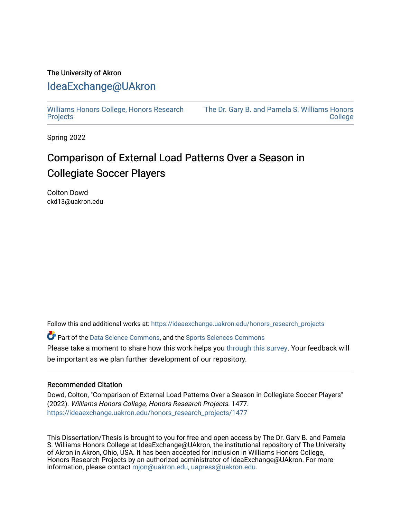# The University of Akron [IdeaExchange@UAkron](https://ideaexchange.uakron.edu/)

[Williams Honors College, Honors Research](https://ideaexchange.uakron.edu/honors_research_projects)  **[Projects](https://ideaexchange.uakron.edu/honors_research_projects)** 

[The Dr. Gary B. and Pamela S. Williams Honors](https://ideaexchange.uakron.edu/honorscollege_ideas)  [College](https://ideaexchange.uakron.edu/honorscollege_ideas) 

Spring 2022

# Comparison of External Load Patterns Over a Season in Collegiate Soccer Players

Colton Dowd ckd13@uakron.edu

Follow this and additional works at: [https://ideaexchange.uakron.edu/honors\\_research\\_projects](https://ideaexchange.uakron.edu/honors_research_projects?utm_source=ideaexchange.uakron.edu%2Fhonors_research_projects%2F1477&utm_medium=PDF&utm_campaign=PDFCoverPages) 

Part of the [Data Science Commons,](http://network.bepress.com/hgg/discipline/1429?utm_source=ideaexchange.uakron.edu%2Fhonors_research_projects%2F1477&utm_medium=PDF&utm_campaign=PDFCoverPages) and the [Sports Sciences Commons](http://network.bepress.com/hgg/discipline/759?utm_source=ideaexchange.uakron.edu%2Fhonors_research_projects%2F1477&utm_medium=PDF&utm_campaign=PDFCoverPages) Please take a moment to share how this work helps you [through this survey](http://survey.az1.qualtrics.com/SE/?SID=SV_eEVH54oiCbOw05f&URL=https://ideaexchange.uakron.edu/honors_research_projects/1477). Your feedback will be important as we plan further development of our repository.

### Recommended Citation

Dowd, Colton, "Comparison of External Load Patterns Over a Season in Collegiate Soccer Players" (2022). Williams Honors College, Honors Research Projects. 1477. [https://ideaexchange.uakron.edu/honors\\_research\\_projects/1477](https://ideaexchange.uakron.edu/honors_research_projects/1477?utm_source=ideaexchange.uakron.edu%2Fhonors_research_projects%2F1477&utm_medium=PDF&utm_campaign=PDFCoverPages) 

This Dissertation/Thesis is brought to you for free and open access by The Dr. Gary B. and Pamela S. Williams Honors College at IdeaExchange@UAkron, the institutional repository of The University of Akron in Akron, Ohio, USA. It has been accepted for inclusion in Williams Honors College, Honors Research Projects by an authorized administrator of IdeaExchange@UAkron. For more information, please contact [mjon@uakron.edu, uapress@uakron.edu.](mailto:mjon@uakron.edu,%20uapress@uakron.edu)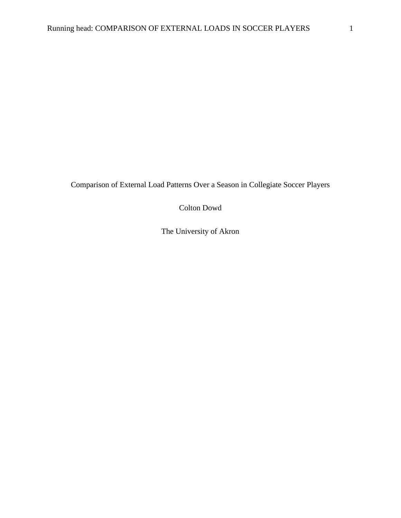Comparison of External Load Patterns Over a Season in Collegiate Soccer Players

Colton Dowd

The University of Akron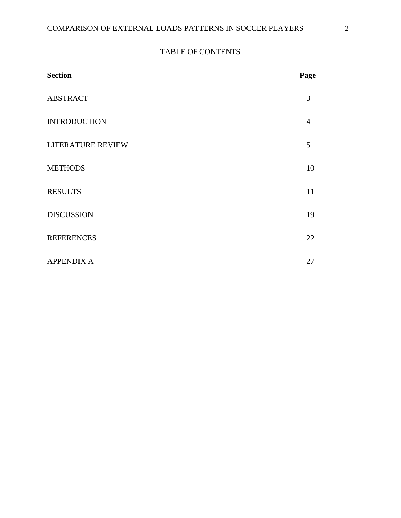# TABLE OF CONTENTS

| <b>Section</b>      | Page           |
|---------------------|----------------|
| <b>ABSTRACT</b>     | 3              |
| <b>INTRODUCTION</b> | $\overline{4}$ |
| LITERATURE REVIEW   | 5              |
| <b>METHODS</b>      | 10             |
| <b>RESULTS</b>      | 11             |
| <b>DISCUSSION</b>   | 19             |
| <b>REFERENCES</b>   | 22             |
| <b>APPENDIX A</b>   | 27             |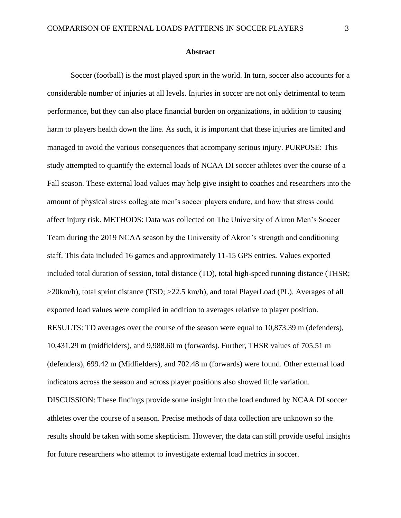Soccer (football) is the most played sport in the world. In turn, soccer also accounts for a considerable number of injuries at all levels. Injuries in soccer are not only detrimental to team performance, but they can also place financial burden on organizations, in addition to causing harm to players health down the line. As such, it is important that these injuries are limited and managed to avoid the various consequences that accompany serious injury. PURPOSE: This study attempted to quantify the external loads of NCAA DI soccer athletes over the course of a Fall season. These external load values may help give insight to coaches and researchers into the amount of physical stress collegiate men's soccer players endure, and how that stress could affect injury risk. METHODS: Data was collected on The University of Akron Men's Soccer Team during the 2019 NCAA season by the University of Akron's strength and conditioning staff. This data included 16 games and approximately 11-15 GPS entries. Values exported included total duration of session, total distance (TD), total high-speed running distance (THSR; >20km/h), total sprint distance (TSD; >22.5 km/h), and total PlayerLoad (PL). Averages of all exported load values were compiled in addition to averages relative to player position. RESULTS: TD averages over the course of the season were equal to 10,873.39 m (defenders), 10,431.29 m (midfielders), and 9,988.60 m (forwards). Further, THSR values of 705.51 m (defenders), 699.42 m (Midfielders), and 702.48 m (forwards) were found. Other external load indicators across the season and across player positions also showed little variation. DISCUSSION: These findings provide some insight into the load endured by NCAA DI soccer athletes over the course of a season. Precise methods of data collection are unknown so the results should be taken with some skepticism. However, the data can still provide useful insights for future researchers who attempt to investigate external load metrics in soccer.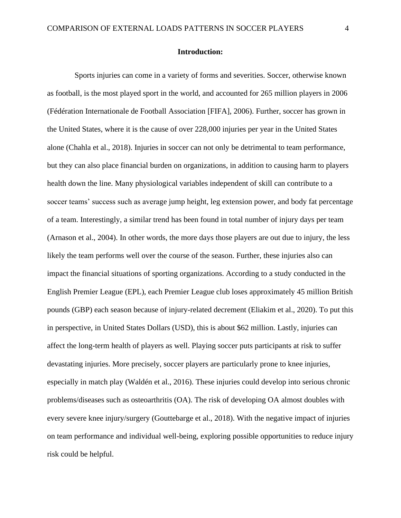#### **Introduction:**

 Sports injuries can come in a variety of forms and severities. Soccer, otherwise known as football, is the most played sport in the world, and accounted for 265 million players in 2006 (Fédération Internationale de Football Association [FIFA], 2006). Further, soccer has grown in the United States, where it is the cause of over 228,000 injuries per year in the United States alone (Chahla et al., 2018). Injuries in soccer can not only be detrimental to team performance, but they can also place financial burden on organizations, in addition to causing harm to players health down the line. Many physiological variables independent of skill can contribute to a soccer teams' success such as average jump height, leg extension power, and body fat percentage of a team. Interestingly, a similar trend has been found in total number of injury days per team (Arnason et al., 2004). In other words, the more days those players are out due to injury, the less likely the team performs well over the course of the season. Further, these injuries also can impact the financial situations of sporting organizations. According to a study conducted in the English Premier League (EPL), each Premier League club loses approximately 45 million British pounds (GBP) each season because of injury-related decrement (Eliakim et al., 2020). To put this in perspective, in United States Dollars (USD), this is about \$62 million. Lastly, injuries can affect the long-term health of players as well. Playing soccer puts participants at risk to suffer devastating injuries. More precisely, soccer players are particularly prone to knee injuries, especially in match play (Waldén et al., 2016). These injuries could develop into serious chronic problems/diseases such as osteoarthritis (OA). The risk of developing OA almost doubles with every severe knee injury/surgery (Gouttebarge et al., 2018). With the negative impact of injuries on team performance and individual well-being, exploring possible opportunities to reduce injury risk could be helpful.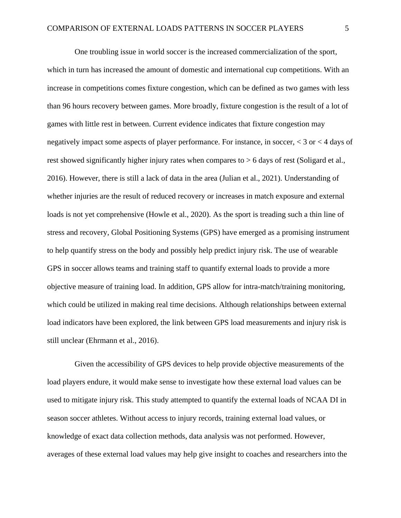One troubling issue in world soccer is the increased commercialization of the sport, which in turn has increased the amount of domestic and international cup competitions. With an increase in competitions comes fixture congestion, which can be defined as two games with less than 96 hours recovery between games. More broadly, fixture congestion is the result of a lot of games with little rest in between. Current evidence indicates that fixture congestion may negatively impact some aspects of player performance. For instance, in soccer, < 3 or < 4 days of rest showed significantly higher injury rates when compares to > 6 days of rest (Soligard et al., 2016). However, there is still a lack of data in the area (Julian et al., 2021). Understanding of whether injuries are the result of reduced recovery or increases in match exposure and external loads is not yet comprehensive (Howle et al., 2020). As the sport is treading such a thin line of stress and recovery, Global Positioning Systems (GPS) have emerged as a promising instrument to help quantify stress on the body and possibly help predict injury risk. The use of wearable GPS in soccer allows teams and training staff to quantify external loads to provide a more objective measure of training load. In addition, GPS allow for intra-match/training monitoring, which could be utilized in making real time decisions. Although relationships between external load indicators have been explored, the link between GPS load measurements and injury risk is still unclear (Ehrmann et al., 2016).

 Given the accessibility of GPS devices to help provide objective measurements of the load players endure, it would make sense to investigate how these external load values can be used to mitigate injury risk. This study attempted to quantify the external loads of NCAA DI in season soccer athletes. Without access to injury records, training external load values, or knowledge of exact data collection methods, data analysis was not performed. However, averages of these external load values may help give insight to coaches and researchers into the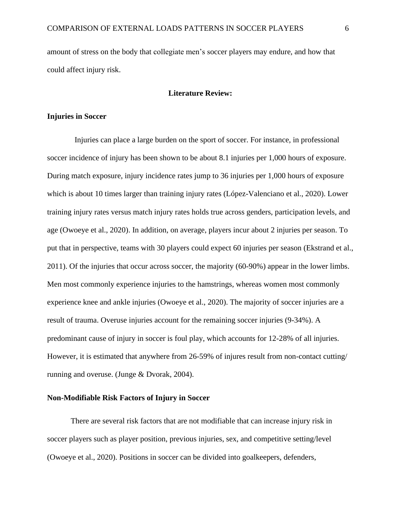amount of stress on the body that collegiate men's soccer players may endure, and how that could affect injury risk.

### **Literature Review:**

### **Injuries in Soccer**

 Injuries can place a large burden on the sport of soccer. For instance, in professional soccer incidence of injury has been shown to be about 8.1 injuries per 1,000 hours of exposure. During match exposure, injury incidence rates jump to 36 injuries per 1,000 hours of exposure which is about 10 times larger than training injury rates (López-Valenciano et al., 2020). Lower training injury rates versus match injury rates holds true across genders, participation levels, and age (Owoeye et al., 2020). In addition, on average, players incur about 2 injuries per season. To put that in perspective, teams with 30 players could expect 60 injuries per season (Ekstrand et al., 2011). Of the injuries that occur across soccer, the majority (60-90%) appear in the lower limbs. Men most commonly experience injuries to the hamstrings, whereas women most commonly experience knee and ankle injuries (Owoeye et al., 2020). The majority of soccer injuries are a result of trauma. Overuse injuries account for the remaining soccer injuries (9-34%). A predominant cause of injury in soccer is foul play, which accounts for 12-28% of all injuries. However, it is estimated that anywhere from 26-59% of injures result from non-contact cutting/ running and overuse. (Junge & Dvorak, 2004).

### **Non-Modifiable Risk Factors of Injury in Soccer**

 There are several risk factors that are not modifiable that can increase injury risk in soccer players such as player position, previous injuries, sex, and competitive setting/level (Owoeye et al., 2020). Positions in soccer can be divided into goalkeepers, defenders,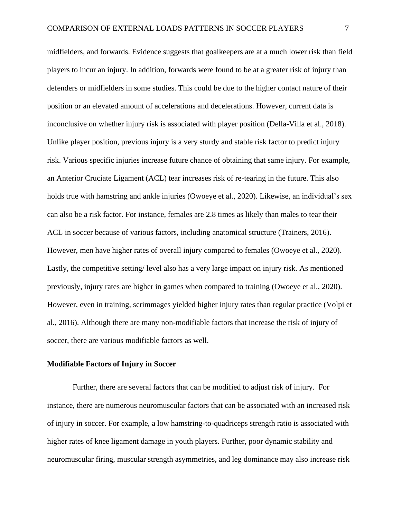midfielders, and forwards. Evidence suggests that goalkeepers are at a much lower risk than field players to incur an injury. In addition, forwards were found to be at a greater risk of injury than defenders or midfielders in some studies. This could be due to the higher contact nature of their position or an elevated amount of accelerations and decelerations. However, current data is inconclusive on whether injury risk is associated with player position (Della-Villa et al., 2018). Unlike player position, previous injury is a very sturdy and stable risk factor to predict injury risk. Various specific injuries increase future chance of obtaining that same injury. For example, an Anterior Cruciate Ligament (ACL) tear increases risk of re-tearing in the future. This also holds true with hamstring and ankle injuries (Owoeye et al., 2020). Likewise, an individual's sex can also be a risk factor. For instance, females are 2.8 times as likely than males to tear their ACL in soccer because of various factors, including anatomical structure (Trainers, 2016). However, men have higher rates of overall injury compared to females (Owoeye et al., 2020). Lastly, the competitive setting/ level also has a very large impact on injury risk. As mentioned previously, injury rates are higher in games when compared to training (Owoeye et al., 2020). However, even in training, scrimmages yielded higher injury rates than regular practice (Volpi et al., 2016). Although there are many non-modifiable factors that increase the risk of injury of soccer, there are various modifiable factors as well.

### **Modifiable Factors of Injury in Soccer**

 Further, there are several factors that can be modified to adjust risk of injury. For instance, there are numerous neuromuscular factors that can be associated with an increased risk of injury in soccer. For example, a low hamstring-to-quadriceps strength ratio is associated with higher rates of knee ligament damage in youth players. Further, poor dynamic stability and neuromuscular firing, muscular strength asymmetries, and leg dominance may also increase risk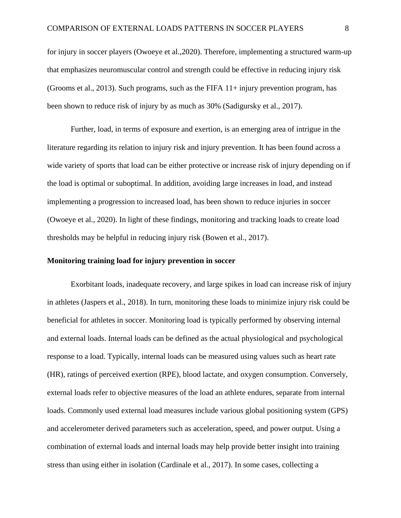for injury in soccer players (Owoeye et al.,2020). Therefore, implementing a structured warm-up that emphasizes neuromuscular control and strength could be effective in reducing injury risk (Grooms et al., 2013). Such programs, such as the FIFA 11+ injury prevention program, has been shown to reduce risk of injury by as much as 30% (Sadigursky et al., 2017).

 Further, load, in terms of exposure and exertion, is an emerging area of intrigue in the literature regarding its relation to injury risk and injury prevention. It has been found across a wide variety of sports that load can be either protective or increase risk of injury depending on if the load is optimal or suboptimal. In addition, avoiding large increases in load, and instead implementing a progression to increased load, has been shown to reduce injuries in soccer (Owoeye et al., 2020). In light of these findings, monitoring and tracking loads to create load thresholds may be helpful in reducing injury risk (Bowen et al., 2017).

### **Monitoring training load for injury prevention in soccer**

Exorbitant loads, inadequate recovery, and large spikes in load can increase risk of injury in athletes (Jaspers et al., 2018). In turn, monitoring these loads to minimize injury risk could be beneficial for athletes in soccer. Monitoring load is typically performed by observing internal and external loads. Internal loads can be defined as the actual physiological and psychological response to a load. Typically, internal loads can be measured using values such as heart rate (HR), ratings of perceived exertion (RPE), blood lactate, and oxygen consumption. Conversely, external loads refer to objective measures of the load an athlete endures, separate from internal loads. Commonly used external load measures include various global positioning system (GPS) and accelerometer derived parameters such as acceleration, speed, and power output. Using a combination of external loads and internal loads may help provide better insight into training stress than using either in isolation (Cardinale et al., 2017). In some cases, collecting a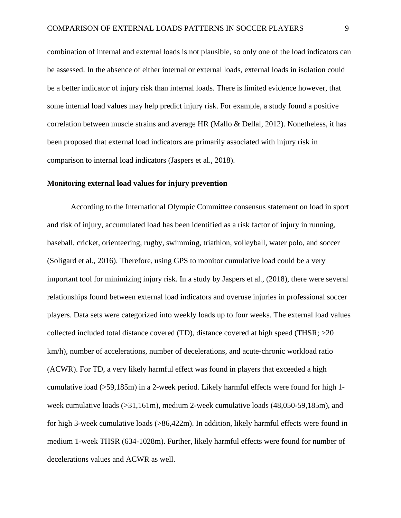combination of internal and external loads is not plausible, so only one of the load indicators can be assessed. In the absence of either internal or external loads, external loads in isolation could be a better indicator of injury risk than internal loads. There is limited evidence however, that some internal load values may help predict injury risk. For example, a study found a positive correlation between muscle strains and average HR (Mallo & Dellal, 2012). Nonetheless, it has been proposed that external load indicators are primarily associated with injury risk in comparison to internal load indicators (Jaspers et al., 2018).

### **Monitoring external load values for injury prevention**

According to the International Olympic Committee consensus statement on load in sport and risk of injury, accumulated load has been identified as a risk factor of injury in running, baseball, cricket, orienteering, rugby, swimming, triathlon, volleyball, water polo, and soccer (Soligard et al., 2016). Therefore, using GPS to monitor cumulative load could be a very important tool for minimizing injury risk. In a study by Jaspers et al., (2018), there were several relationships found between external load indicators and overuse injuries in professional soccer players. Data sets were categorized into weekly loads up to four weeks. The external load values collected included total distance covered (TD), distance covered at high speed (THSR; >20 km/h), number of accelerations, number of decelerations, and acute-chronic workload ratio (ACWR). For TD, a very likely harmful effect was found in players that exceeded a high cumulative load (>59,185m) in a 2-week period. Likely harmful effects were found for high 1 week cumulative loads (>31,161m), medium 2-week cumulative loads (48,050-59,185m), and for high 3-week cumulative loads (>86,422m). In addition, likely harmful effects were found in medium 1-week THSR (634-1028m). Further, likely harmful effects were found for number of decelerations values and ACWR as well.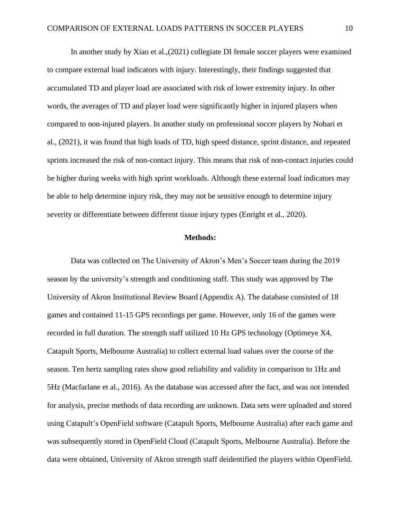In another study by Xiao et al.,(2021) collegiate DI female soccer players were examined to compare external load indicators with injury. Interestingly, their findings suggested that accumulated TD and player load are associated with risk of lower extremity injury. In other words, the averages of TD and player load were significantly higher in injured players when compared to non-injured players. In another study on professional soccer players by Nobari et al., (2021), it was found that high loads of TD, high speed distance, sprint distance, and repeated sprints increased the risk of non-contact injury. This means that risk of non-contact injuries could be higher during weeks with high sprint workloads. Although these external load indicators may be able to help determine injury risk, they may not be sensitive enough to determine injury severity or differentiate between different tissue injury types (Enright et al., 2020).

### **Methods:**

Data was collected on The University of Akron's Men's Soccer team during the 2019 season by the university's strength and conditioning staff. This study was approved by The University of Akron Institutional Review Board (Appendix A). The database consisted of 18 games and contained 11-15 GPS recordings per game. However, only 16 of the games were recorded in full duration. The strength staff utilized 10 Hz GPS technology (Optimeye X4, Catapult Sports, Melbourne Australia) to collect external load values over the course of the season. Ten hertz sampling rates show good reliability and validity in comparison to 1Hz and 5Hz (Macfarlane et al., 2016). As the database was accessed after the fact, and was not intended for analysis, precise methods of data recording are unknown. Data sets were uploaded and stored using Catapult's OpenField software (Catapult Sports, Melbourne Australia) after each game and was subsequently stored in OpenField Cloud (Catapult Sports, Melbourne Australia). Before the data were obtained, University of Akron strength staff deidentified the players within OpenField.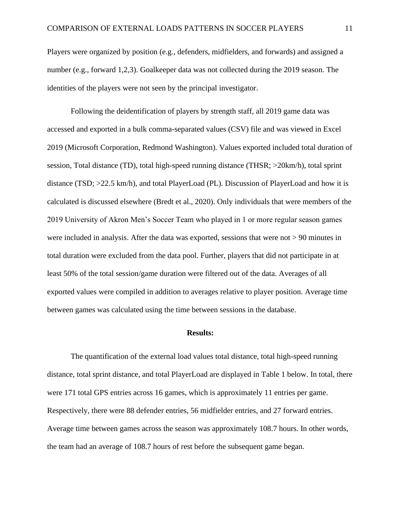Players were organized by position (e.g., defenders, midfielders, and forwards) and assigned a number (e.g., forward 1,2,3). Goalkeeper data was not collected during the 2019 season. The identities of the players were not seen by the principal investigator.

Following the deidentification of players by strength staff, all 2019 game data was accessed and exported in a bulk comma-separated values (CSV) file and was viewed in Excel 2019 (Microsoft Corporation, Redmond Washington). Values exported included total duration of session, Total distance (TD), total high-speed running distance (THSR; >20km/h), total sprint distance (TSD; >22.5 km/h), and total PlayerLoad (PL). Discussion of PlayerLoad and how it is calculated is discussed elsewhere (Bredt et al., 2020). Only individuals that were members of the 2019 University of Akron Men's Soccer Team who played in 1 or more regular season games were included in analysis. After the data was exported, sessions that were not > 90 minutes in total duration were excluded from the data pool. Further, players that did not participate in at least 50% of the total session/game duration were filtered out of the data. Averages of all exported values were compiled in addition to averages relative to player position. Average time between games was calculated using the time between sessions in the database.

#### **Results:**

The quantification of the external load values total distance, total high-speed running distance, total sprint distance, and total PlayerLoad are displayed in Table 1 below. In total, there were 171 total GPS entries across 16 games, which is approximately 11 entries per game. Respectively, there were 88 defender entries, 56 midfielder entries, and 27 forward entries. Average time between games across the season was approximately 108.7 hours. In other words, the team had an average of 108.7 hours of rest before the subsequent game began.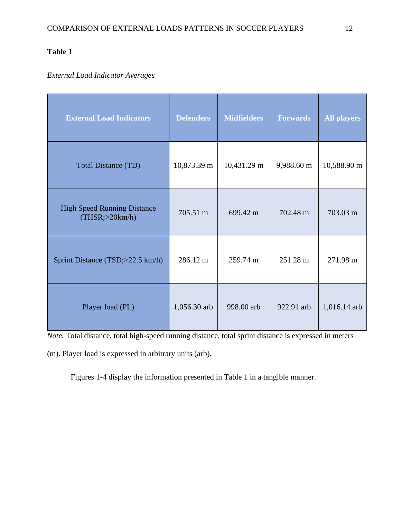# **Table 1**

### *External Load Indicator Averages*

| <b>External Load Indicators</b>                        | <b>Defenders</b> | <b>Midfielders</b> | <b>Forwards</b> | <b>All players</b> |
|--------------------------------------------------------|------------------|--------------------|-----------------|--------------------|
| <b>Total Distance (TD)</b>                             | 10,873.39 m      | 10,431.29 m        | 9,988.60 m      | 10,588.90 m        |
| <b>High Speed Running Distance</b><br>(THSR; > 20km/h) | 705.51 m         | 699.42 m           | 702.48 m        | 703.03 m           |
| Sprint Distance (TSD;>22.5 km/h)                       | 286.12 m         | 259.74 m           | 251.28 m        | 271.98 m           |
| Player load (PL)                                       | 1,056.30 arb     | 998.00 arb         | 922.91 arb      | 1,016.14 arb       |

*Note.* Total distance, total high-speed running distance, total sprint distance is expressed in meters

(m). Player load is expressed in arbitrary units (arb).

Figures 1-4 display the information presented in Table 1 in a tangible manner.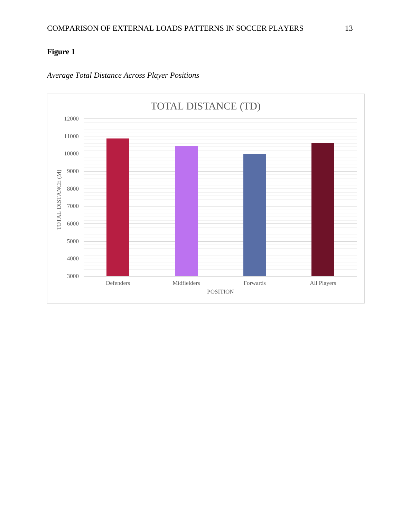

### *Average Total Distance Across Player Positions*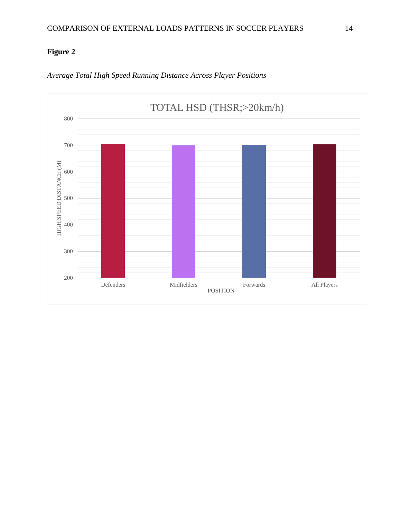

*Average Total High Speed Running Distance Across Player Positions*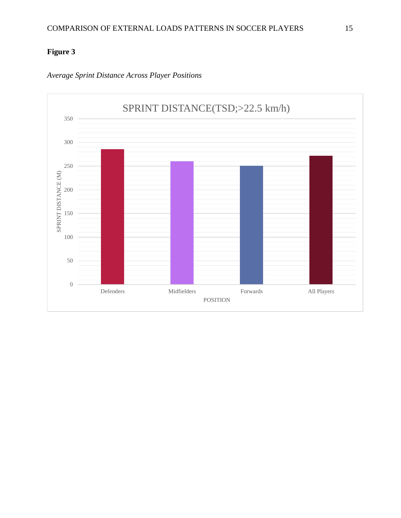

*Average Sprint Distance Across Player Positions*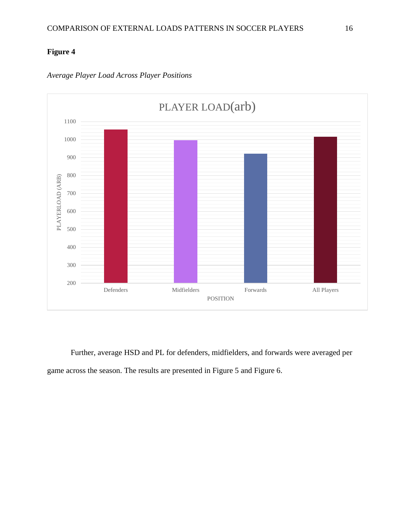

### *Average Player Load Across Player Positions*

Further, average HSD and PL for defenders, midfielders, and forwards were averaged per game across the season. The results are presented in Figure 5 and Figure 6.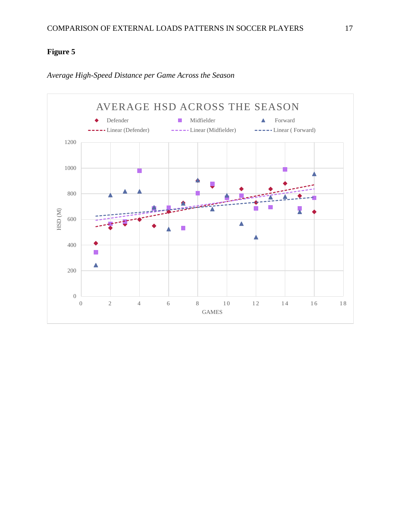

*Average High-Speed Distance per Game Across the Season*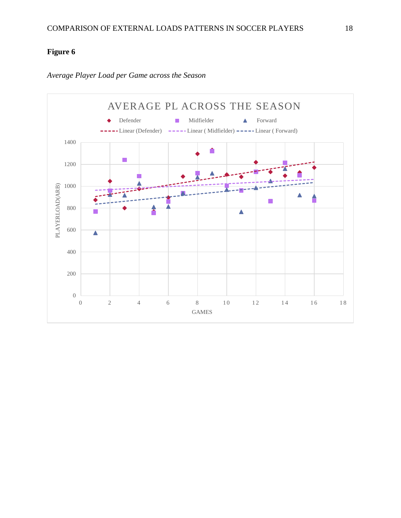

*Average Player Load per Game across the Season*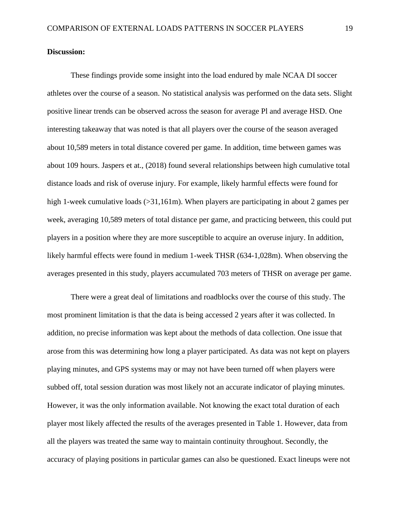### **Discussion:**

These findings provide some insight into the load endured by male NCAA DI soccer athletes over the course of a season. No statistical analysis was performed on the data sets. Slight positive linear trends can be observed across the season for average Pl and average HSD. One interesting takeaway that was noted is that all players over the course of the season averaged about 10,589 meters in total distance covered per game. In addition, time between games was about 109 hours. Jaspers et at., (2018) found several relationships between high cumulative total distance loads and risk of overuse injury. For example, likely harmful effects were found for high 1-week cumulative loads (> 31,161m). When players are participating in about 2 games per week, averaging 10,589 meters of total distance per game, and practicing between, this could put players in a position where they are more susceptible to acquire an overuse injury. In addition, likely harmful effects were found in medium 1-week THSR (634-1,028m). When observing the averages presented in this study, players accumulated 703 meters of THSR on average per game.

There were a great deal of limitations and roadblocks over the course of this study. The most prominent limitation is that the data is being accessed 2 years after it was collected. In addition, no precise information was kept about the methods of data collection. One issue that arose from this was determining how long a player participated. As data was not kept on players playing minutes, and GPS systems may or may not have been turned off when players were subbed off, total session duration was most likely not an accurate indicator of playing minutes. However, it was the only information available. Not knowing the exact total duration of each player most likely affected the results of the averages presented in Table 1. However, data from all the players was treated the same way to maintain continuity throughout. Secondly, the accuracy of playing positions in particular games can also be questioned. Exact lineups were not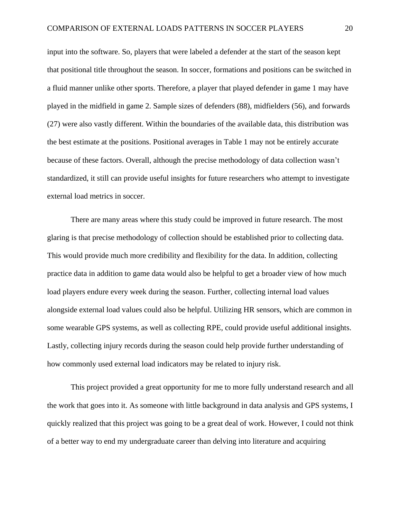input into the software. So, players that were labeled a defender at the start of the season kept that positional title throughout the season. In soccer, formations and positions can be switched in a fluid manner unlike other sports. Therefore, a player that played defender in game 1 may have played in the midfield in game 2. Sample sizes of defenders (88), midfielders (56), and forwards (27) were also vastly different. Within the boundaries of the available data, this distribution was the best estimate at the positions. Positional averages in Table 1 may not be entirely accurate because of these factors. Overall, although the precise methodology of data collection wasn't standardized, it still can provide useful insights for future researchers who attempt to investigate external load metrics in soccer.

There are many areas where this study could be improved in future research. The most glaring is that precise methodology of collection should be established prior to collecting data. This would provide much more credibility and flexibility for the data. In addition, collecting practice data in addition to game data would also be helpful to get a broader view of how much load players endure every week during the season. Further, collecting internal load values alongside external load values could also be helpful. Utilizing HR sensors, which are common in some wearable GPS systems, as well as collecting RPE, could provide useful additional insights. Lastly, collecting injury records during the season could help provide further understanding of how commonly used external load indicators may be related to injury risk.

This project provided a great opportunity for me to more fully understand research and all the work that goes into it. As someone with little background in data analysis and GPS systems, I quickly realized that this project was going to be a great deal of work. However, I could not think of a better way to end my undergraduate career than delving into literature and acquiring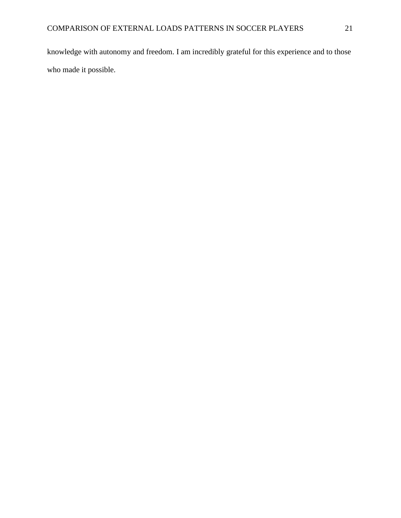knowledge with autonomy and freedom. I am incredibly grateful for this experience and to those who made it possible.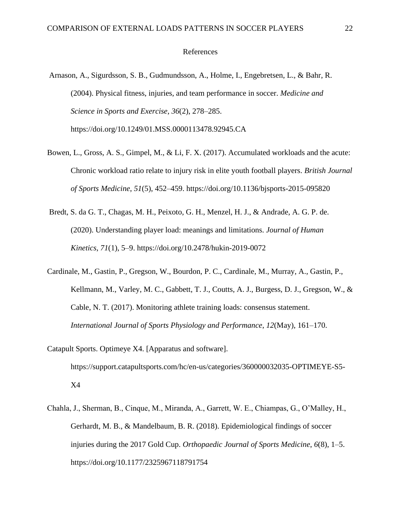### References

- Arnason, A., Sigurdsson, S. B., Gudmundsson, A., Holme, I., Engebretsen, L., & Bahr, R. (2004). Physical fitness, injuries, and team performance in soccer. *Medicine and Science in Sports and Exercise*, *36*(2), 278–285. https://doi.org/10.1249/01.MSS.0000113478.92945.CA
- Bowen, L., Gross, A. S., Gimpel, M., & Li, F. X. (2017). Accumulated workloads and the acute: Chronic workload ratio relate to injury risk in elite youth football players. *British Journal of Sports Medicine*, *51*(5), 452–459. https://doi.org/10.1136/bjsports-2015-095820
- Bredt, S. da G. T., Chagas, M. H., Peixoto, G. H., Menzel, H. J., & Andrade, A. G. P. de. (2020). Understanding player load: meanings and limitations. *Journal of Human Kinetics*, *71*(1), 5–9. https://doi.org/10.2478/hukin-2019-0072
- Cardinale, M., Gastin, P., Gregson, W., Bourdon, P. C., Cardinale, M., Murray, A., Gastin, P., Kellmann, M., Varley, M. C., Gabbett, T. J., Coutts, A. J., Burgess, D. J., Gregson, W., & Cable, N. T. (2017). Monitoring athlete training loads: consensus statement. *International Journal of Sports Physiology and Performance*, *12*(May), 161–170.
- Catapult Sports. Optimeye X4. [Apparatus and software]. https://support.catapultsports.com/hc/en-us/categories/360000032035-OPTIMEYE-S5- X4
- Chahla, J., Sherman, B., Cinque, M., Miranda, A., Garrett, W. E., Chiampas, G., O'Malley, H., Gerhardt, M. B., & Mandelbaum, B. R. (2018). Epidemiological findings of soccer injuries during the 2017 Gold Cup. *Orthopaedic Journal of Sports Medicine*, *6*(8), 1–5. https://doi.org/10.1177/2325967118791754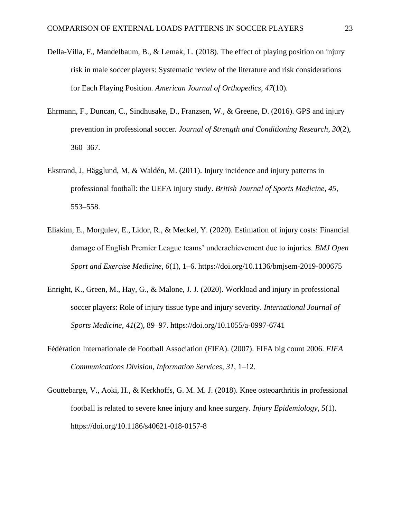- Della-Villa, F., Mandelbaum, B., & Lemak, L. (2018). The effect of playing position on injury risk in male soccer players: Systematic review of the literature and risk considerations for Each Playing Position. *American Journal of Orthopedics*, *47*(10).
- Ehrmann, F., Duncan, C., Sindhusake, D., Franzsen, W., & Greene, D. (2016). GPS and injury prevention in professional soccer. *Journal of Strength and Conditioning Research*, *30*(2), 360–367.
- Ekstrand, J, Hägglund, M, & Waldén, M. (2011). Injury incidence and injury patterns in professional football: the UEFA injury study. *British Journal of Sports Medicine*, *45*, 553–558.
- Eliakim, E., Morgulev, E., Lidor, R., & Meckel, Y. (2020). Estimation of injury costs: Financial damage of English Premier League teams' underachievement due to injuries. *BMJ Open Sport and Exercise Medicine*, *6*(1), 1–6. https://doi.org/10.1136/bmjsem-2019-000675
- Enright, K., Green, M., Hay, G., & Malone, J. J. (2020). Workload and injury in professional soccer players: Role of injury tissue type and injury severity. *International Journal of Sports Medicine*, *41*(2), 89–97. https://doi.org/10.1055/a-0997-6741
- Fédération Internationale de Football Association (FIFA). (2007). FIFA big count 2006. *FIFA Communications Division, Information Services*, *31*, 1–12.
- Gouttebarge, V., Aoki, H., & Kerkhoffs, G. M. M. J. (2018). Knee osteoarthritis in professional football is related to severe knee injury and knee surgery. *Injury Epidemiology*, *5*(1). https://doi.org/10.1186/s40621-018-0157-8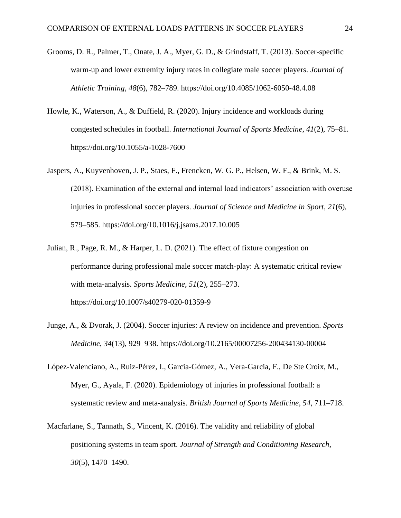- Grooms, D. R., Palmer, T., Onate, J. A., Myer, G. D., & Grindstaff, T. (2013). Soccer-specific warm-up and lower extremity injury rates in collegiate male soccer players. *Journal of Athletic Training*, *48*(6), 782–789. https://doi.org/10.4085/1062-6050-48.4.08
- Howle, K., Waterson, A., & Duffield, R. (2020). Injury incidence and workloads during congested schedules in football. *International Journal of Sports Medicine*, *41*(2), 75–81. https://doi.org/10.1055/a-1028-7600
- Jaspers, A., Kuyvenhoven, J. P., Staes, F., Frencken, W. G. P., Helsen, W. F., & Brink, M. S. (2018). Examination of the external and internal load indicators' association with overuse injuries in professional soccer players. *Journal of Science and Medicine in Sport*, *21*(6), 579–585. https://doi.org/10.1016/j.jsams.2017.10.005
- Julian, R., Page, R. M., & Harper, L. D. (2021). The effect of fixture congestion on performance during professional male soccer match-play: A systematic critical review with meta-analysis. *Sports Medicine*, *51*(2), 255–273. https://doi.org/10.1007/s40279-020-01359-9
- Junge, A., & Dvorak, J. (2004). Soccer injuries: A review on incidence and prevention. *Sports Medicine*, *34*(13), 929–938. https://doi.org/10.2165/00007256-200434130-00004
- López-Valenciano, A., Ruiz-Pérez, I., Garcia-Gómez, A., Vera-Garcia, F., De Ste Croix, M., Myer, G., Ayala, F. (2020). Epidemiology of injuries in professional football: a systematic review and meta-analysis. *British Journal of Sports Medicine*, *54*, 711–718.
- Macfarlane, S., Tannath, S., Vincent, K. (2016). The validity and reliability of global positioning systems in team sport. *Journal of Strength and Conditioning Research*, *30*(5), 1470–1490.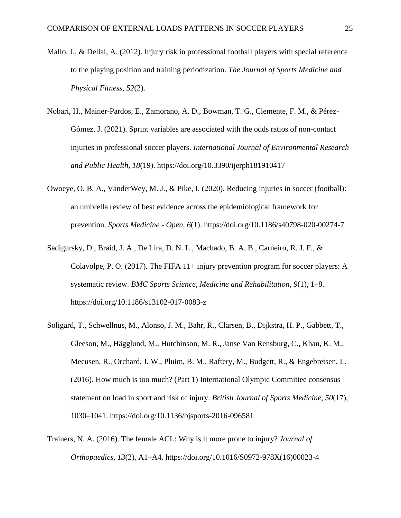- Mallo, J., & Dellal, A. (2012). Injury risk in professional football players with special reference to the playing position and training periodization. *The Journal of Sports Medicine and Physical Fitness*, *52*(2).
- Nobari, H., Mainer-Pardos, E., Zamorano, A. D., Bowman, T. G., Clemente, F. M., & Pérez-Gómez, J. (2021). Sprint variables are associated with the odds ratios of non-contact injuries in professional soccer players. *International Journal of Environmental Research and Public Health*, *18*(19). https://doi.org/10.3390/ijerph181910417
- Owoeye, O. B. A., VanderWey, M. J., & Pike, I. (2020). Reducing injuries in soccer (football): an umbrella review of best evidence across the epidemiological framework for prevention. *Sports Medicine - Open*, *6*(1). https://doi.org/10.1186/s40798-020-00274-7
- Sadigursky, D., Braid, J. A., De Lira, D. N. L., Machado, B. A. B., Carneiro, R. J. F., & Colavolpe, P. O. (2017). The FIFA 11+ injury prevention program for soccer players: A systematic review. *BMC Sports Science, Medicine and Rehabilitation*, *9*(1), 1–8. https://doi.org/10.1186/s13102-017-0083-z
- Soligard, T., Schwellnus, M., Alonso, J. M., Bahr, R., Clarsen, B., Dijkstra, H. P., Gabbett, T., Gleeson, M., Hägglund, M., Hutchinson, M. R., Janse Van Rensburg, C., Khan, K. M., Meeusen, R., Orchard, J. W., Pluim, B. M., Raftery, M., Budgett, R., & Engebretsen, L. (2016). How much is too much? (Part 1) International Olympic Committee consensus statement on load in sport and risk of injury. *British Journal of Sports Medicine*, *50*(17), 1030–1041. https://doi.org/10.1136/bjsports-2016-096581
- Trainers, N. A. (2016). The female ACL: Why is it more prone to injury? *Journal of Orthopaedics*, *13*(2), A1–A4. https://doi.org/10.1016/S0972-978X(16)00023-4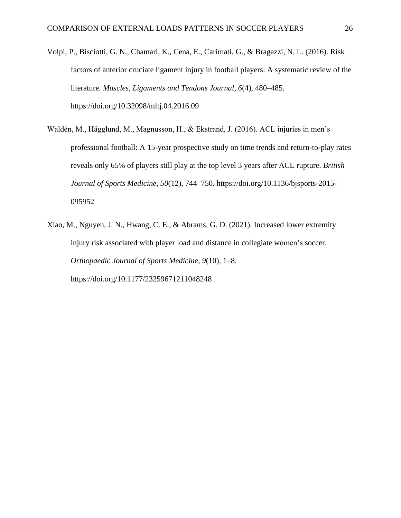- Volpi, P., Bisciotti, G. N., Chamari, K., Cena, E., Carimati, G., & Bragazzi, N. L. (2016). Risk factors of anterior cruciate ligament injury in football players: A systematic review of the literature. *Muscles, Ligaments and Tendons Journal*, *6*(4), 480–485. https://doi.org/10.32098/mltj.04.2016.09
- Waldén, M., Hägglund, M., Magnusson, H., & Ekstrand, J. (2016). ACL injuries in men's professional football: A 15-year prospective study on time trends and return-to-play rates reveals only 65% of players still play at the top level 3 years after ACL rupture. *British Journal of Sports Medicine*, *50*(12), 744–750. https://doi.org/10.1136/bjsports-2015- 095952
- Xiao, M., Nguyen, J. N., Hwang, C. E., & Abrams, G. D. (2021). Increased lower extremity injury risk associated with player load and distance in collegiate women's soccer. *Orthopaedic Journal of Sports Medicine*, *9*(10), 1–8. https://doi.org/10.1177/23259671211048248